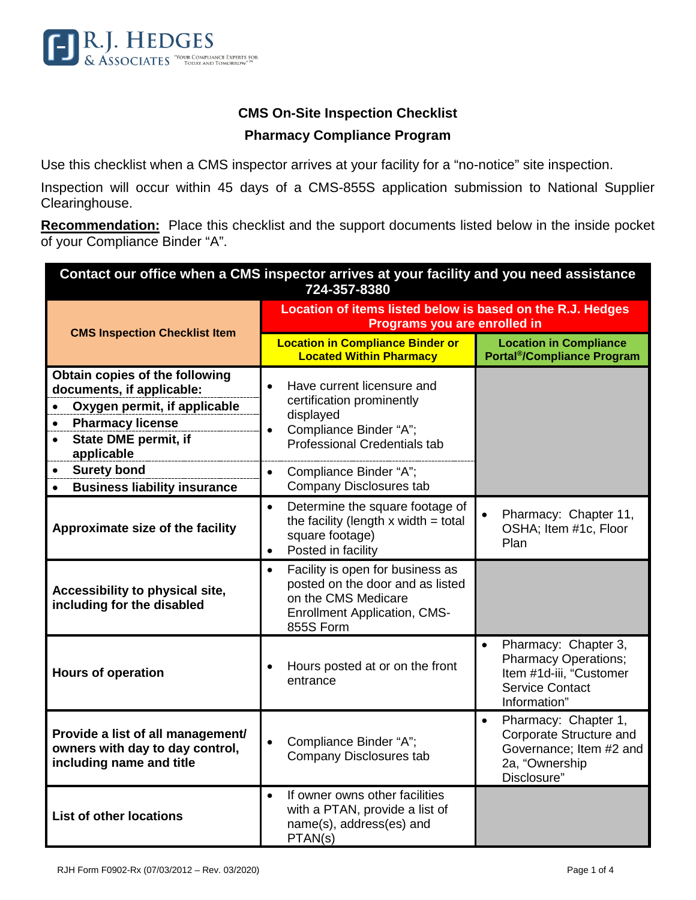

## **CMS On-Site Inspection Checklist Pharmacy Compliance Program**

Use this checklist when a CMS inspector arrives at your facility for a "no-notice" site inspection.

Inspection will occur within 45 days of a CMS-855S application submission to National Supplier Clearinghouse.

**Recommendation:** Place this checklist and the support documents listed below in the inside pocket of your Compliance Binder "A".

| Contact our office when a CMS inspector arrives at your facility and you need assistance<br>724-357-8380                                                                                     |                                                                                                                                                                 |                                                                                                                                       |  |  |
|----------------------------------------------------------------------------------------------------------------------------------------------------------------------------------------------|-----------------------------------------------------------------------------------------------------------------------------------------------------------------|---------------------------------------------------------------------------------------------------------------------------------------|--|--|
| <b>CMS Inspection Checklist Item</b>                                                                                                                                                         | Location of items listed below is based on the R.J. Hedges<br>Programs you are enrolled in                                                                      |                                                                                                                                       |  |  |
|                                                                                                                                                                                              | <b>Location in Compliance Binder or</b><br><b>Located Within Pharmacy</b>                                                                                       | <b>Location in Compliance</b><br><b>Portal<sup>®</sup>/Compliance Program</b>                                                         |  |  |
| Obtain copies of the following<br>documents, if applicable:<br>Oxygen permit, if applicable<br>$\bullet$<br><b>Pharmacy license</b><br>$\bullet$<br><b>State DME permit, if</b><br>$\bullet$ | Have current licensure and<br>$\bullet$<br>certification prominently<br>displayed<br>Compliance Binder "A";<br>$\bullet$<br><b>Professional Credentials tab</b> |                                                                                                                                       |  |  |
| applicable<br><b>Surety bond</b><br>$\bullet$<br><b>Business liability insurance</b><br>$\bullet$                                                                                            | Compliance Binder "A";<br>$\bullet$<br><b>Company Disclosures tab</b>                                                                                           |                                                                                                                                       |  |  |
| Approximate size of the facility                                                                                                                                                             | Determine the square footage of<br>$\bullet$<br>the facility (length $x$ width = total<br>square footage)<br>Posted in facility<br>$\bullet$                    | Pharmacy: Chapter 11,<br>$\bullet$<br>OSHA; Item #1c, Floor<br>Plan                                                                   |  |  |
| Accessibility to physical site,<br>including for the disabled                                                                                                                                | Facility is open for business as<br>$\bullet$<br>posted on the door and as listed<br>on the CMS Medicare<br><b>Enrollment Application, CMS-</b><br>855S Form    |                                                                                                                                       |  |  |
| <b>Hours of operation</b>                                                                                                                                                                    | Hours posted at or on the front<br>entrance                                                                                                                     | Pharmacy: Chapter 3,<br>$\bullet$<br><b>Pharmacy Operations;</b><br>Item #1d-iii, "Customer<br><b>Service Contact</b><br>Information" |  |  |
| Provide a list of all management/<br>owners with day to day control,<br>including name and title                                                                                             | Compliance Binder "A";<br>Company Disclosures tab                                                                                                               | Pharmacy: Chapter 1,<br>$\bullet$<br>Corporate Structure and<br>Governance; Item #2 and<br>2a, "Ownership<br>Disclosure"              |  |  |
| <b>List of other locations</b>                                                                                                                                                               | If owner owns other facilities<br>$\bullet$<br>with a PTAN, provide a list of<br>name(s), address(es) and<br>PTAN(s)                                            |                                                                                                                                       |  |  |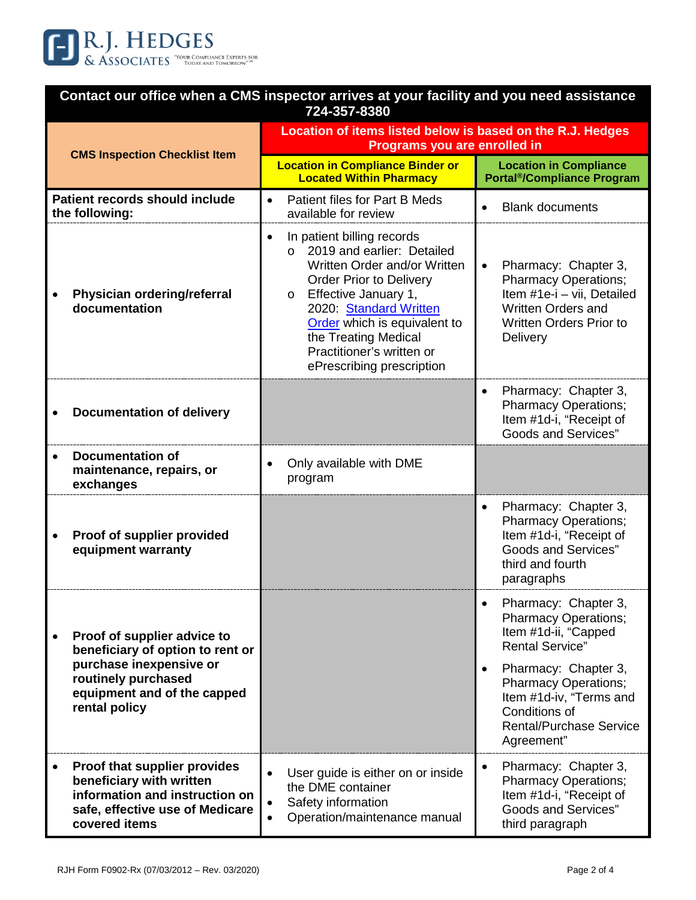

| Contact our office when a CMS inspector arrives at your facility and you need assistance<br>724-357-8380                                                          |                                                                                                                                                                                                                                                                                                                                    |                                                                                                                                                                                                                                            |  |
|-------------------------------------------------------------------------------------------------------------------------------------------------------------------|------------------------------------------------------------------------------------------------------------------------------------------------------------------------------------------------------------------------------------------------------------------------------------------------------------------------------------|--------------------------------------------------------------------------------------------------------------------------------------------------------------------------------------------------------------------------------------------|--|
| <b>CMS Inspection Checklist Item</b>                                                                                                                              | Location of items listed below is based on the R.J. Hedges<br>Programs you are enrolled in                                                                                                                                                                                                                                         |                                                                                                                                                                                                                                            |  |
|                                                                                                                                                                   | <b>Location in Compliance Binder or</b><br><b>Located Within Pharmacy</b>                                                                                                                                                                                                                                                          | <b>Location in Compliance</b><br><b>Portal<sup>®</sup>/Compliance Program</b>                                                                                                                                                              |  |
| Patient records should include<br>the following:                                                                                                                  | Patient files for Part B Meds<br>$\bullet$<br>available for review                                                                                                                                                                                                                                                                 | <b>Blank documents</b>                                                                                                                                                                                                                     |  |
| Physician ordering/referral<br>documentation                                                                                                                      | In patient billing records<br>$\bullet$<br>2019 and earlier: Detailed<br>$\Omega$<br>Written Order and/or Written<br><b>Order Prior to Delivery</b><br>Effective January 1,<br>$\circ$<br>2020: Standard Written<br>Order which is equivalent to<br>the Treating Medical<br>Practitioner's written or<br>ePrescribing prescription | Pharmacy: Chapter 3,<br>$\bullet$<br><b>Pharmacy Operations;</b><br>Item #1e-i - vii, Detailed<br>Written Orders and<br><b>Written Orders Prior to</b><br>Delivery                                                                         |  |
| <b>Documentation of delivery</b>                                                                                                                                  |                                                                                                                                                                                                                                                                                                                                    | Pharmacy: Chapter 3,<br>$\bullet$<br><b>Pharmacy Operations;</b><br>Item #1d-i, "Receipt of<br><b>Goods and Services"</b>                                                                                                                  |  |
| <b>Documentation of</b><br>maintenance, repairs, or<br>exchanges                                                                                                  | Only available with DME<br>program                                                                                                                                                                                                                                                                                                 |                                                                                                                                                                                                                                            |  |
| Proof of supplier provided<br>equipment warranty                                                                                                                  |                                                                                                                                                                                                                                                                                                                                    | Pharmacy: Chapter 3,<br><b>Pharmacy Operations;</b><br>Item #1d-i, "Receipt of<br><b>Goods and Services"</b><br>third and fourth<br>paragraphs                                                                                             |  |
| Proof of supplier advice to<br>beneficiary of option to rent or<br>purchase inexpensive or<br>routinely purchased<br>equipment and of the capped<br>rental policy |                                                                                                                                                                                                                                                                                                                                    | Pharmacy: Chapter 3,<br><b>Pharmacy Operations;</b><br>Item #1d-ii, "Capped<br><b>Rental Service"</b><br>Pharmacy: Chapter 3,<br><b>Pharmacy Operations;</b><br>Item #1d-iv, "Terms and<br>Conditions of<br><b>Rental/Purchase Service</b> |  |
|                                                                                                                                                                   |                                                                                                                                                                                                                                                                                                                                    | Agreement"                                                                                                                                                                                                                                 |  |
| Proof that supplier provides<br>beneficiary with written<br>information and instruction on<br>safe, effective use of Medicare<br>covered items                    | User guide is either on or inside<br>the DME container<br>Safety information<br>Operation/maintenance manual                                                                                                                                                                                                                       | Pharmacy: Chapter 3,<br>$\bullet$<br><b>Pharmacy Operations;</b><br>Item #1d-i, "Receipt of<br><b>Goods and Services"</b><br>third paragraph                                                                                               |  |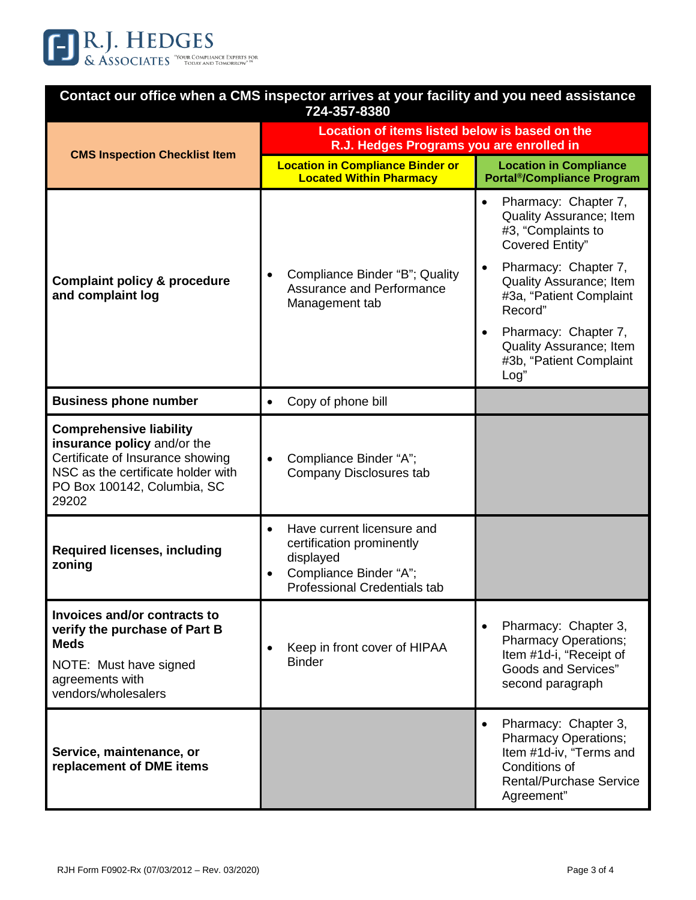

| Contact our office when a CMS inspector arrives at your facility and you need assistance<br>724-357-8380                                                                        |                                                                                                                                                                 |                                                                                                                                                                                                                    |  |
|---------------------------------------------------------------------------------------------------------------------------------------------------------------------------------|-----------------------------------------------------------------------------------------------------------------------------------------------------------------|--------------------------------------------------------------------------------------------------------------------------------------------------------------------------------------------------------------------|--|
| <b>CMS Inspection Checklist Item</b>                                                                                                                                            | Location of items listed below is based on the<br>R.J. Hedges Programs you are enrolled in                                                                      |                                                                                                                                                                                                                    |  |
|                                                                                                                                                                                 | <b>Location in Compliance Binder or</b><br><b>Located Within Pharmacy</b>                                                                                       | <b>Location in Compliance</b><br><b>Portal<sup>®</sup>/Compliance Program</b>                                                                                                                                      |  |
| <b>Complaint policy &amp; procedure</b><br>and complaint log                                                                                                                    | Compliance Binder "B"; Quality<br>$\bullet$<br>Assurance and Performance<br>Management tab                                                                      | Pharmacy: Chapter 7,<br>$\bullet$<br>Quality Assurance; Item<br>#3, "Complaints to<br>Covered Entity"<br>Pharmacy: Chapter 7,<br>$\bullet$<br><b>Quality Assurance; Item</b><br>#3a, "Patient Complaint<br>Record" |  |
|                                                                                                                                                                                 |                                                                                                                                                                 | Pharmacy: Chapter 7,<br>$\bullet$<br>Quality Assurance; Item<br>#3b, "Patient Complaint<br>Log"                                                                                                                    |  |
| <b>Business phone number</b>                                                                                                                                                    | Copy of phone bill<br>$\bullet$                                                                                                                                 |                                                                                                                                                                                                                    |  |
| <b>Comprehensive liability</b><br>insurance policy and/or the<br>Certificate of Insurance showing<br>NSC as the certificate holder with<br>PO Box 100142, Columbia, SC<br>29202 | Compliance Binder "A";<br>Company Disclosures tab                                                                                                               |                                                                                                                                                                                                                    |  |
| <b>Required licenses, including</b><br>zoning                                                                                                                                   | Have current licensure and<br>$\bullet$<br>certification prominently<br>displayed<br>Compliance Binder "A";<br>$\bullet$<br><b>Professional Credentials tab</b> |                                                                                                                                                                                                                    |  |
| Invoices and/or contracts to<br>verify the purchase of Part B<br><b>Meds</b><br>NOTE: Must have signed<br>agreements with<br>vendors/wholesalers                                | Keep in front cover of HIPAA<br>$\bullet$<br><b>Binder</b>                                                                                                      | Pharmacy: Chapter 3,<br>$\bullet$<br><b>Pharmacy Operations;</b><br>Item #1d-i, "Receipt of<br><b>Goods and Services"</b><br>second paragraph                                                                      |  |
| Service, maintenance, or<br>replacement of DME items                                                                                                                            |                                                                                                                                                                 | Pharmacy: Chapter 3,<br>$\bullet$<br><b>Pharmacy Operations;</b><br>Item #1d-iv, "Terms and<br>Conditions of<br><b>Rental/Purchase Service</b><br>Agreement"                                                       |  |